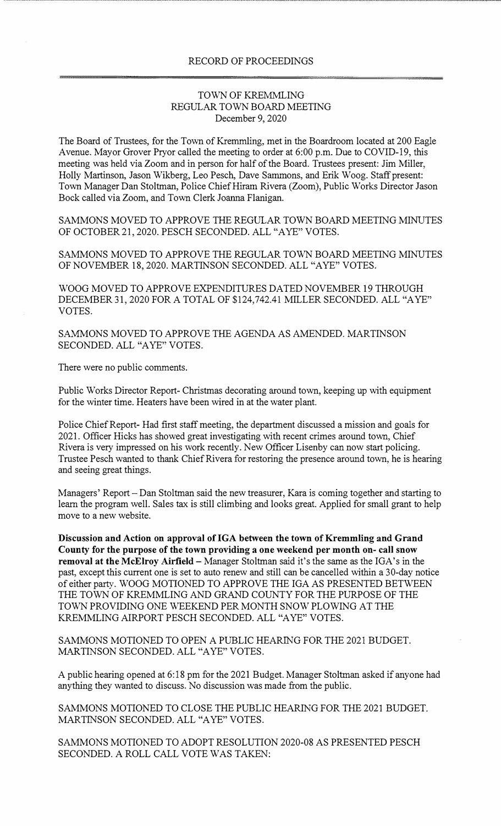## RECORD OF PROCEEDINGS

## TOWN OF KREMMLING REGULAR TOWN BOARD MEETING December 9, 2020

The Board of Trustees, for the Town of Kremmling, met in the Boardroom located at 200 Eagle Avenue. Mayor Grover Pryor called the meeting to order at 6:00 p.m. Due to COVID-19, this meeting was held via Zoom and in person for half of the Board. Trustees present: Jim Miller, Holly Martinson, Jason Wikberg, Leo Pesch, Dave Sammons, and Erik Woog. Staff present: Town Manager Dan Stoltman, Police Chief Hiram Rivera (Zoom), Public Works Director Jason Bock called via Zoom, and Town Clerk Joanna Flanigan.

SAMMONS MOVED TO APPROVE THE REGULAR TOWN BOARD MEETING MINUTES OF OCTOBER 21, 2020. PESCH SECONDED. ALL "A YE" VOTES.

SAMMONS MOVED TO APPROVE THE REGULAR TOWN BOARD MEETING MINUTES OF NOVEMBER 18, 2020. MARTINSON SECONDED. ALL "AYE" VOTES.

WOOG MOVED TO APPROVE EXPENDITURES DATED NOVEMBER 19 THROUGH DECEMBER 31, 2020 FOR A TOTAL OF \$124,742.41 MILLER SECONDED. ALL "A YE" VOTES.

SAMMONS MOVED TO APPROVE THE AGENDA AS AMENDED. MARTINSON SECONDED. ALL "A YE" VOTES.

There were no public comments.

Public Works Director Report- Christmas decorating around town, keeping up with equipment for the winter time. Heaters have been wired in at the water plant.

Police Chief Report- Had first staff meeting, the department discussed a mission and goals for 2021. Officer Hicks has showed great investigating with recent crimes around town, Chief Rivera is very impressed on his work recently. New Officer Lisenby can now start policing. Trustee Pesch wanted to thank Chief Rivera for restoring the presence around town, he is hearing and seeing great things.

Managers' Report – Dan Stoltman said the new treasurer, Kara is coming together and starting to learn the program well. Sales tax is still climbing and looks great. Applied for small grant to help move to a new website.

**Discussion and Action on approval ofIGA between the town of Kremmling and Grand County for the purpose of the town providing a one weekend per month on- call snow removal at the McElroy Airfield-** Manager Stoltman said it's the same as the IGA's in the past, except this current one is set to auto renew and still can be cancelled within a 30-day notice of either party. WOOG MOTIONED TO APPROVE THE IGA AS PRESENTED BETWEEN THE TOWN OF KREMMLING AND GRAND COUNTY FOR THE PURPOSE OF THE TOWN PROVIDING ONE WEEKEND PER MONTH SNOW PLOWING AT THE KREMMLING AIRPORT PESCH SECONDED. ALL "A YE" VOTES.

SAMMONS MOTIONED TO OPEN A PUBLIC HEARING FOR THE 2021 BUDGET. MARTINSON SECONDED. ALL "A YE" VOTES.

A public hearing opened at 6:18 pm for the 2021 Budget. Manager Stoltman asked if anyone had anything they wanted to discuss. No discussion was made from the public.

SAMMONS MOTIONED TO CLOSE THE PUBLIC HEARING FOR THE 2021 BUDGET. MARTINSON SECONDED. ALL "A YE" VOTES.

SAMMONS MOTIONED TO ADOPT RESOLUTION 2020-08 AS PRESENTED PESCH SECONDED. A ROLL CALL VOTE WAS TAKEN: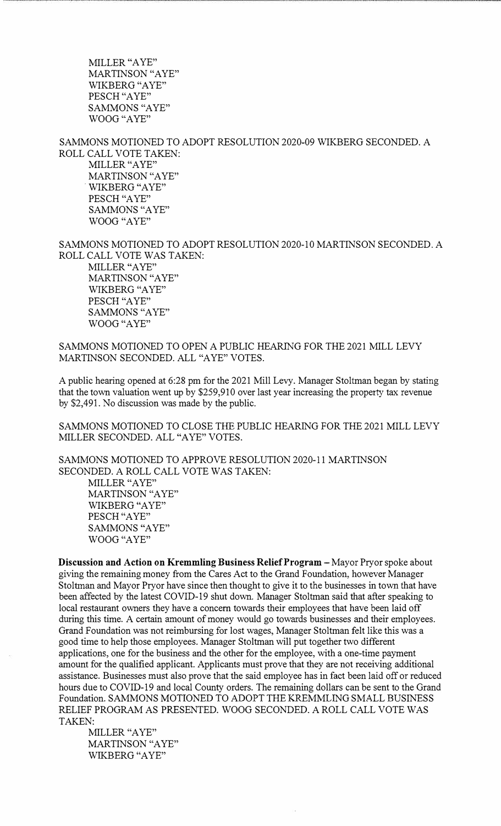MILLER "A YE" MARTINSON "AYE" WIKBERG "AYE" PESCH "AYE" SAMMONS "AYE" WOOG "AYE"

SAMMONS MOTIONED TO ADOPT RESOLUTION 2020-09 WIKBERG SECONDED. A ROLL CALL VOTE TAKEN: MILLER "A YE" MARTINSON "AYE" . WIKBERG "A YE" PESCH "A YE" SAMMONS "A YE" WOOG "AYE"

SAMMONS MOTIONED TO ADOPT RESOLUTION 2020-10 MARTINSON SECONDED. A ROLL CALL VOTE WAS TAKEN: MILLER "A YE" MARTINSON "AYE" WIKBERG "AYE" PESCH "AYE" SAMMONS "AYE" WOOG "AYE"

SAMMONS MOTIONED TO OPEN A PUBLIC HEARING FOR THE 2021 MILL LEVY MARTINSON SECONDED. ALL "A YE" VOTES.

A public hearing opened at 6:28 pm for the 2021 Mill Levy. Manager Stoltman began by stating that the town valuation went up by \$259,910 over last year increasing the property tax revenue by \$2,491. No discussion was made by the public.

SAMMONS MOTIONED TO CLOSE THE PUBLIC HEARING FOR THE 2021 MILL LEVY MILLER SECONDED. ALL "A YE" VOTES.

SAMMONS MOTIONED TO APPROVE RESOLUTION 2020-11 MARTINSON SECONDED. A ROLL CALL VOTE WAS TAKEN: MILLER "A YE" MARTINSON "AYE" WIKBERG "AYE" PESCH "AYE" SAMMONS "AYE" WOOG "AYE"

**Discussion and Action on Kremmling Business Relief Program – Mayor Pryor spoke about** giving the remaining money from the Cares Act to the Grand Foundation, however Manager Stoltman and Mayor Pryor have since then thought to give it to the businesses in town that have been affected by the latest COVID-19 shut down. Manager Stoltman said that after speaking to local restaurant owners they have a concern towards their employees that have been laid off during this time. A certain amount of money would go towards businesses and their employees. Grand Foundation was not reimbursing for lost wages, Manager Stoltman felt like this was a good time to help those employees. Manager Stoltman will put together two different applications, one for the business and the other for the employee, with a one-time payment amount for the qualified applicant. Applicants must prove that they are not receiving additional assistance. Businesses must also prove that the said employee has in fact been laid off or reduced hours due to COVID-19 and local County orders. The remaining dollars can be sent to the Grand Foundation. SAMMONS MOTIONED TO ADOPT THE KREMMLING SMALL BUSINESS RELIEF PROGRAM AS PRESENTED. WOOG SECONDED. A ROLL CALL VOTE WAS TAKEN:

MILLER "A YE" MARTINSON "AYE" WIKBERG "A YE"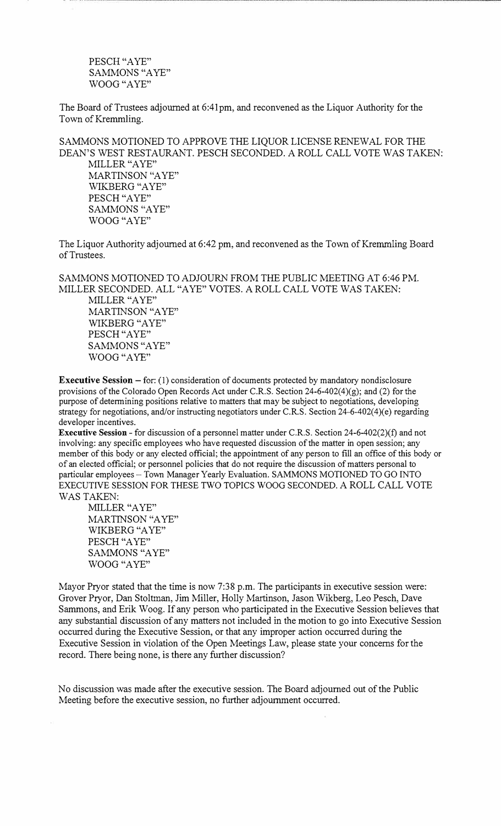PESCH "AYE" SAMMONS "AYE" WOOG "AYE"

The Board of Trustees adjourned at 6:41 pm, and reconvened as the Liquor Authority for the Town of Kremmling.

SAMMONS MOTIONED TO APPROVE THE LIQUOR LICENSE RENEWAL FOR THE DEAN'S WEST RESTAURANT. PESCH SECONDED. A ROLL CALL VOTE WAS TAKEN: MILLER "A YE"

MARTINSON "AYE" WIKBERG "A YE" PESCH "AYE" SAMMONS "AYE" WOOG "AYE"

The Liquor Authority adjourned at 6:42 pm, and reconvened as the Town of Kremmling Board of Trustees.

SAMMONS MOTIONED TO ADJOURN FROM THE PUBLIC MEETING AT 6:46 PM. MILLER SECONDED. ALL "AYE"VOTES. A ROLL CALL VOTE WAS TAKEN:

MILLER "A YE" MARTINSON "AYE" WIKBERG "AYE" PESCH "AYE" SAMMONS "AYE" WOOG "AYE"

**Executive Session – for:** (1) consideration of documents protected by mandatory nondisclosure provisions of the Colorado Open Records Act under C.R.S. Section 24-6-402(4)(g); and (2) for the purpose of determining positions relative to matters that may be subject to negotiations, developing strategy for negotiations, and/or instructing negotiators under C.R.S. Section 24-6-402(4)(e) regarding developer incentives.

**Executive Session** - for discussion of a personnel matter under C.R.S. Section 24-6-402(2)(£) and not involving: any specific employees who have requested discussion of the matter in open session; any member of this body or any elected official; the appointment of any person to fill an office of this body or of an elected official; or personnel policies that do not require the discussion of matters personal to particular employees - Town Manager Yearly Evaluation. SAMMONS MOTIONED TO GO INTO EXECUTIVE SESSION FOR THESE TWO TOPICS WOOG SECONDED. A ROLL CALL VOTE WAS TAKEN:

MILLER "A YE" MARTINSON "A YE" WIKBERG "A YE" PESCH "A YE" SAMMONS "AYE" WOOG "AYE"

Mayor Pryor stated that the time is now 7:38 p.m. The participants in executive session were: Grover Pryor, Dan Stoltman, Jim Miller, Holly Martinson, Jason Wikberg, Leo Pesch, Dave Sammons, and Erik Woog. If any person who participated in the Executive Session believes that any substantial discussion of any matters not included in the motion to go into Executive Session occurred during the Executive Session, or that any improper action occurred during the Executive Session in violation of the Open Meetings Law, please state your concerns for the record. There being none, is there any further discussion?

No discussion was made after the executive session. The Board adjourned out of the Public Meeting before the executive session, no further adjournment occurred.